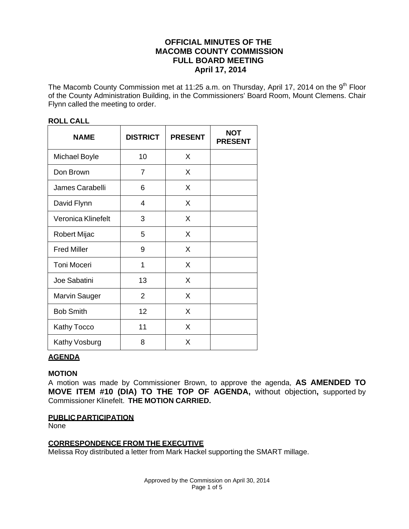# **OFFICIAL MINUTES OF THE MACOMB COUNTY COMMISSION FULL BOARD MEETING April 17, 2014**

The Macomb County Commission met at 11:25 a.m. on Thursday, April 17, 2014 on the 9<sup>th</sup> Floor of the County Administration Building, in the Commissioners' Board Room, Mount Clemens. Chair Flynn called the meeting to order.

| <b>NAME</b>          | <b>DISTRICT</b> | <b>PRESENT</b> | <b>NOT</b><br><b>PRESENT</b> |
|----------------------|-----------------|----------------|------------------------------|
| <b>Michael Boyle</b> | 10              | X              |                              |
| Don Brown            | $\overline{7}$  | X              |                              |
| James Carabelli      | 6               | X              |                              |
| David Flynn          | $\overline{4}$  | X              |                              |
| Veronica Klinefelt   | 3               | X              |                              |
| Robert Mijac         | 5               | X              |                              |
| <b>Fred Miller</b>   | 9               | X              |                              |
| <b>Toni Moceri</b>   | 1               | X              |                              |
| Joe Sabatini         | 13              | X              |                              |
| <b>Marvin Sauger</b> | $\overline{2}$  | X              |                              |
| <b>Bob Smith</b>     | 12              | X              |                              |
| <b>Kathy Tocco</b>   | 11              | X              |                              |
| Kathy Vosburg        | 8               | X              |                              |

# **ROLL CALL**

# **AGENDA**

### **MOTION**

A motion was made by Commissioner Brown, to approve the agenda, **AS AMENDED TO MOVE ITEM #10 (DIA) TO THE TOP OF AGENDA,** without objection**,** supported by Commissioner Klinefelt. **THE MOTION CARRIED.**

### **PUBLIC PARTICIPATION**

None

# **CORRESPONDENCE FROM THE EXECUTIVE**

Melissa Roy distributed a letter from Mark Hackel supporting the SMART millage.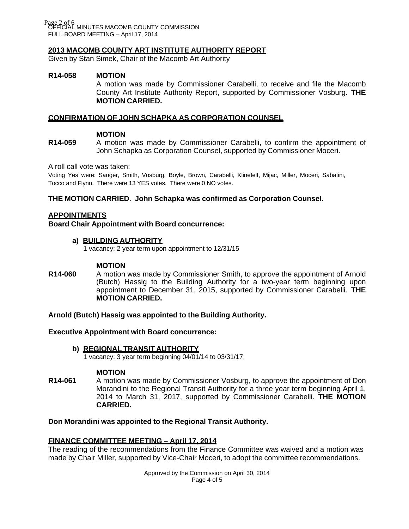Page 2 of 6<br>OFFICIAL MINUTES MACOMB COUNTY COMMISSION FULL BOARD MEETING – April 17, 2014

### **2013 MACOMB COUNTY ART INSTITUTE AUTHORITY REPORT**

Given by Stan Simek, Chair of the Macomb Art Authority

### **R14-058 MOTION**

A motion was made by Commissioner Carabelli, to receive and file the Macomb County Art Institute Authority Report, supported by Commissioner Vosburg. **THE MOTION CARRIED.**

### **CONFIRMATION OF JOHN SCHAPKA AS CORPORATION COUNSEL**

### **MOTION**

**R14-059** A motion was made by Commissioner Carabelli, to confirm the appointment of John Schapka as Corporation Counsel, supported by Commissioner Moceri.

A roll call vote was taken:

Voting Yes were: Sauger, Smith, Vosburg, Boyle, Brown, Carabelli, Klinefelt, Mijac, Miller, Moceri, Sabatini, Tocco and Flynn. There were 13 YES votes. There were 0 NO votes.

### **THE MOTION CARRIED**. **John Schapka was confirmed as Corporation Counsel.**

#### **APPOINTMENTS**

**Board Chair Appointment with Board concurrence:**

### **a) BUILDING AUTHORITY**

1 vacancy; 2 year term upon appointment to 12/31/15

#### **MOTION**

**R14-060** A motion was made by Commissioner Smith, to approve the appointment of Arnold (Butch) Hassig to the Building Authority for a two-year term beginning upon appointment to December 31, 2015, supported by Commissioner Carabelli. **THE MOTION CARRIED.**

#### **Arnold (Butch) Hassig was appointed to the Building Authority.**

#### **Executive Appointment with Board concurrence:**

### **b) REGIONAL TRANSIT AUTHORITY**

1 vacancy; 3 year term beginning 04/01/14 to 03/31/17;

#### **MOTION**

**R14-061** A motion was made by Commissioner Vosburg, to approve the appointment of Don Morandini to the Regional Transit Authority for a three year term beginning April 1, 2014 to March 31, 2017, supported by Commissioner Carabelli. **THE MOTION CARRIED.**

### **Don Morandini was appointed to the Regional Transit Authority.**

### **FINANCE COMMITTEE MEETING – April 17, 2014**

The reading of the recommendations from the Finance Committee was waived and a motion was made by Chair Miller, supported by Vice-Chair Moceri, to adopt the committee recommendations.

> Approved by the Commission on April 30, 2014 Page 4 of 5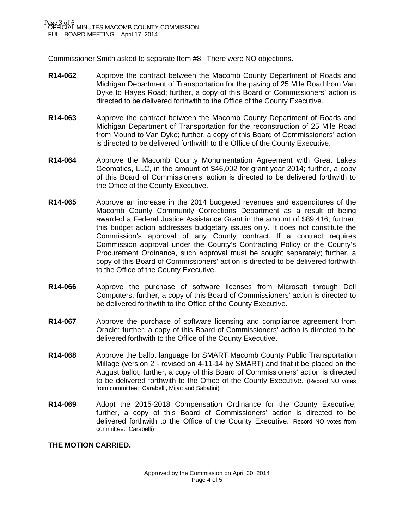Commissioner Smith asked to separate Item #8. There were NO objections.

- **R14-062** Approve the contract between the Macomb County Department of Roads and Michigan Department of Transportation for the paving of 25 Mile Road from Van Dyke to Hayes Road; further, a copy of this Board of Commissioners' action is directed to be delivered forthwith to the Office of the County Executive.
- **R14-063** Approve the contract between the Macomb County Department of Roads and Michigan Department of Transportation for the reconstruction of 25 Mile Road from Mound to Van Dyke; further, a copy of this Board of Commissioners' action is directed to be delivered forthwith to the Office of the County Executive.
- **R14-064** Approve the Macomb County Monumentation Agreement with Great Lakes Geomatics, LLC, in the amount of \$46,002 for grant year 2014; further, a copy of this Board of Commissioners' action is directed to be delivered forthwith to the Office of the County Executive.
- **R14-065** Approve an increase in the 2014 budgeted revenues and expenditures of the Macomb County Community Corrections Department as a result of being awarded a Federal Justice Assistance Grant in the amount of \$89,416; further, this budget action addresses budgetary issues only. It does not constitute the Commission's approval of any County contract. If a contract requires Commission approval under the County's Contracting Policy or the County's Procurement Ordinance, such approval must be sought separately; further, a copy of this Board of Commissioners' action is directed to be delivered forthwith to the Office of the County Executive.
- **R14-066** Approve the purchase of software licenses from Microsoft through Dell Computers; further, a copy of this Board of Commissioners' action is directed to be delivered forthwith to the Office of the County Executive.
- **R14-067** Approve the purchase of software licensing and compliance agreement from Oracle; further, a copy of this Board of Commissioners' action is directed to be delivered forthwith to the Office of the County Executive.
- **R14-068** Approve the ballot language for SMART Macomb County Public Transportation Millage (version 2 - revised on 4-11-14 by SMART) and that it be placed on the August ballot; further, a copy of this Board of Commissioners' action is directed to be delivered forthwith to the Office of the County Executive. (Record NO votes from committee: Carabelli, Mijac and Sabatini)
- **R14-069** Adopt the 2015-2018 Compensation Ordinance for the County Executive; further, a copy of this Board of Commissioners' action is directed to be delivered forthwith to the Office of the County Executive. Record NO votes from committee: Carabelli)

### **THE MOTION CARRIED.**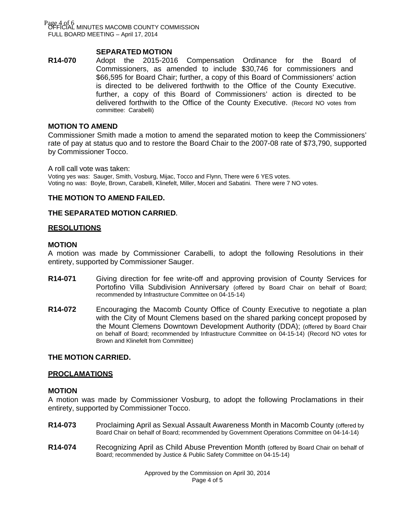Page 4 of 6<br>OFFICIAL MINUTES MACOMB COUNTY COMMISSION FULL BOARD MEETING – April 17, 2014

### **SEPARATED MOTION**

**R14-070** Adopt the 2015-2016 Compensation Ordinance for the Board of Commissioners, as amended to include \$30,746 for commissioners and \$66,595 for Board Chair; further, a copy of this Board of Commissioners' action is directed to be delivered forthwith to the Office of the County Executive. further, a copy of this Board of Commissioners' action is directed to be delivered forthwith to the Office of the County Executive. (Record NO votes from committee: Carabelli)

#### **MOTION TO AMEND**

Commissioner Smith made a motion to amend the separated motion to keep the Commissioners' rate of pay at status quo and to restore the Board Chair to the 2007-08 rate of \$73,790, supported by Commissioner Tocco.

A roll call vote was taken:

Voting yes was: Sauger, Smith, Vosburg, Mijac, Tocco and Flynn, There were 6 YES votes. Voting no was: Boyle, Brown, Carabelli, Klinefelt, Miller, Moceri and Sabatini. There were 7 NO votes.

#### **THE MOTION TO AMEND FAILED.**

#### **THE SEPARATED MOTION CARRIED.**

### **RESOLUTIONS**

#### **MOTION**

A motion was made by Commissioner Carabelli, to adopt the following Resolutions in their entirety, supported by Commissioner Sauger.

- **R14-071** Giving direction for fee write-off and approving provision of County Services for Portofino Villa Subdivision Anniversary (offered by Board Chair on behalf of Board; recommended by Infrastructure Committee on 04-15-14)
- **R14-072** Encouraging the Macomb County Office of County Executive to negotiate a plan with the City of Mount Clemens based on the shared parking concept proposed by the Mount Clemens Downtown Development Authority (DDA); (offered by Board Chair on behalf of Board; recommended by Infrastructure Committee on 04-15-14) (Record NO votes for Brown and Klinefelt from Committee)

#### **THE MOTION CARRIED.**

#### **PROCLAMATIONS**

#### **MOTION**

A motion was made by Commissioner Vosburg, to adopt the following Proclamations in their entirety, supported by Commissioner Tocco.

- **R14-073** Proclaiming April as Sexual Assault Awareness Month in Macomb County (offered by Board Chair on behalf of Board; recommended by Government Operations Committee on 04-14-14)
- **R14-074** Recognizing April as Child Abuse Prevention Month (offered by Board Chair on behalf of Board; recommended by Justice & Public Safety Committee on 04-15-14)

Approved by the Commission on April 30, 2014 Page 4 of 5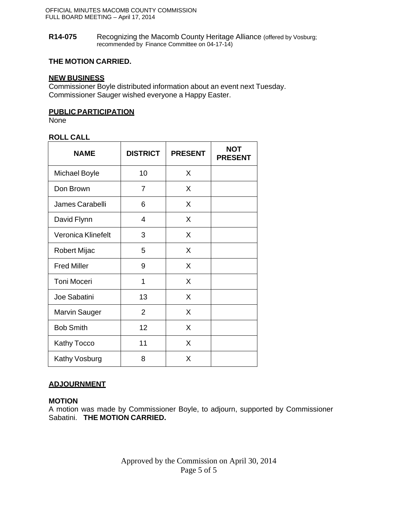#### **R14-075** Recognizing the Macomb County Heritage Alliance (offered by Vosburg; recommended by Finance Committee on 04-17-14)

# **THE MOTION CARRIED.**

## **NEW BUSINESS**

Commissioner Boyle distributed information about an event next Tuesday. Commissioner Sauger wished everyone a Happy Easter.

### **PUBLIC PARTICIPATION**

None

# **ROLL CALL**

| <b>NAME</b>          | <b>DISTRICT</b> | <b>PRESENT</b> | <b>NOT</b><br><b>PRESENT</b> |
|----------------------|-----------------|----------------|------------------------------|
| Michael Boyle        | 10              | X              |                              |
| Don Brown            | 7               | X              |                              |
| James Carabelli      | 6               | X              |                              |
| David Flynn          | 4               | X              |                              |
| Veronica Klinefelt   | 3               | X              |                              |
| <b>Robert Mijac</b>  | 5               | X              |                              |
| <b>Fred Miller</b>   | 9               | X              |                              |
| Toni Moceri          | 1               | X              |                              |
| Joe Sabatini         | 13              | X              |                              |
| <b>Marvin Sauger</b> | $\overline{2}$  | X              |                              |
| <b>Bob Smith</b>     | 12              | X              |                              |
| <b>Kathy Tocco</b>   | 11              | X              |                              |
| Kathy Vosburg        | 8               | X              |                              |

# **ADJOURNMENT**

# **MOTION**

A motion was made by Commissioner Boyle, to adjourn, supported by Commissioner Sabatini. **THE MOTION CARRIED.**